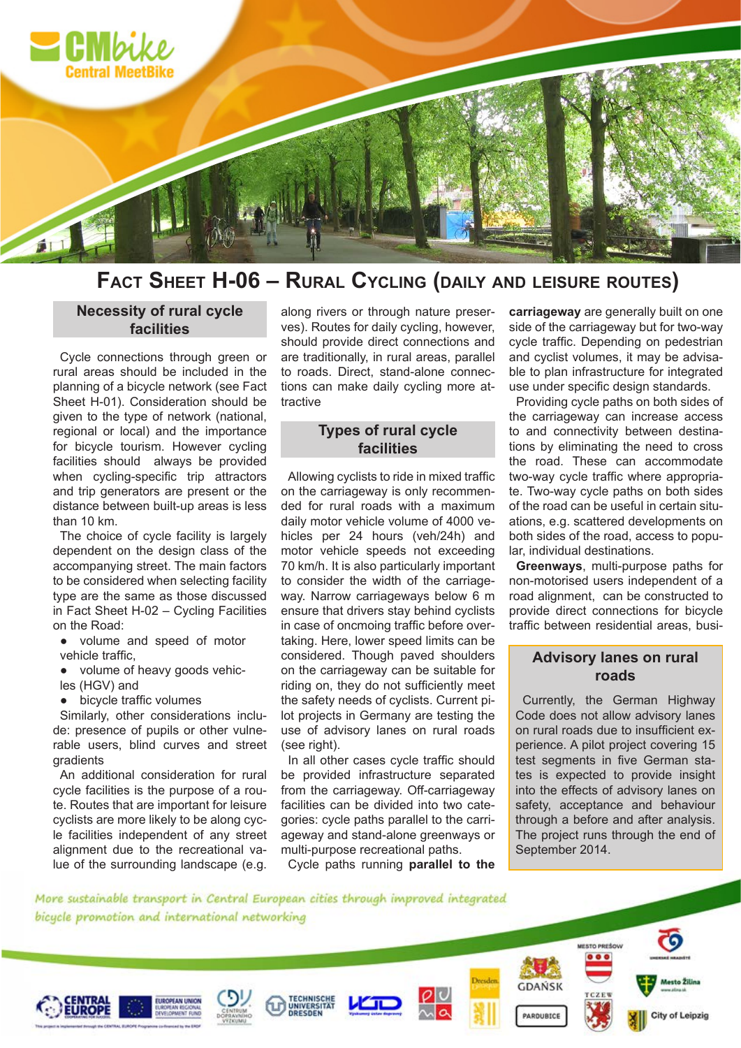

# **Fact Sheet h-06 – RuRal cycling (daily and leiSuRe RouteS)**

#### **Necessity of rural cycle facilities**

Cycle connections through green or rural areas should be included in the planning of a bicycle network (see Fact Sheet H-01). Consideration should be given to the type of network (national, regional or local) and the importance for bicycle tourism. However cycling facilities should always be provided when cycling-specific trip attractors and trip generators are present or the distance between built-up areas is less than 10 km.

The choice of cycle facility is largely dependent on the design class of the accompanying street. The main factors to be considered when selecting facility type are the same as those discussed in Fact Sheet H-02 – Cycling Facilities on the Road:

- volume and speed of motor vehicle traffic,
- volume of heavy goods vehicles (HGV) and

• bicycle traffic volumes

Similarly, other considerations include: presence of pupils or other vulnerable users, blind curves and street gradients

An additional consideration for rural cycle facilities is the purpose of a route. Routes that are important for leisure cyclists are more likely to be along cycle facilities independent of any street alignment due to the recreational value of the surrounding landscape (e.g.

along rivers or through nature preserves). Routes for daily cycling, however, should provide direct connections and are traditionally, in rural areas, parallel to roads. Direct, stand-alone connections can make daily cycling more attractive

### **Types of rural cycle facilities**

Allowing cyclists to ride in mixed traffic on the carriageway is only recommended for rural roads with a maximum daily motor vehicle volume of 4000 vehicles per 24 hours (veh/24h) and motor vehicle speeds not exceeding 70 km/h. It is also particularly important to consider the width of the carriageway. Narrow carriageways below 6 m ensure that drivers stay behind cyclists in case of oncmoing traffic before overtaking. Here, lower speed limits can be considered. Though paved shoulders on the carriageway can be suitable for riding on, they do not sufficiently meet the safety needs of cyclists. Current pilot projects in Germany are testing the use of advisory lanes on rural roads (see right).

In all other cases cycle traffic should be provided infrastructure separated from the carriageway. Off-carriageway facilities can be divided into two categories: cycle paths parallel to the carriageway and stand-alone greenways or multi-purpose recreational paths.

Cycle paths running **parallel to the** 

**carriageway** are generally built on one side of the carriageway but for two-way cycle traffic. Depending on pedestrian and cyclist volumes, it may be advisable to plan infrastructure for integrated use under specific design standards.

Providing cycle paths on both sides of the carriageway can increase access to and connectivity between destinations by eliminating the need to cross the road. These can accommodate two-way cycle traffic where appropriate. Two-way cycle paths on both sides of the road can be useful in certain situations, e.g. scattered developments on both sides of the road, access to popular, individual destinations.

**Greenways**, multi-purpose paths for non-motorised users independent of a road alignment, can be constructed to provide direct connections for bicycle traffic between residential areas, busi-

## **Advisory lanes on rural roads**

Currently, the German Highway Code does not allow advisory lanes on rural roads due to insufficient experience. A pilot project covering 15 test segments in five German states is expected to provide insight into the effects of advisory lanes on safety, acceptance and behaviour through a before and after analysis. The project runs through the end of September 2014.